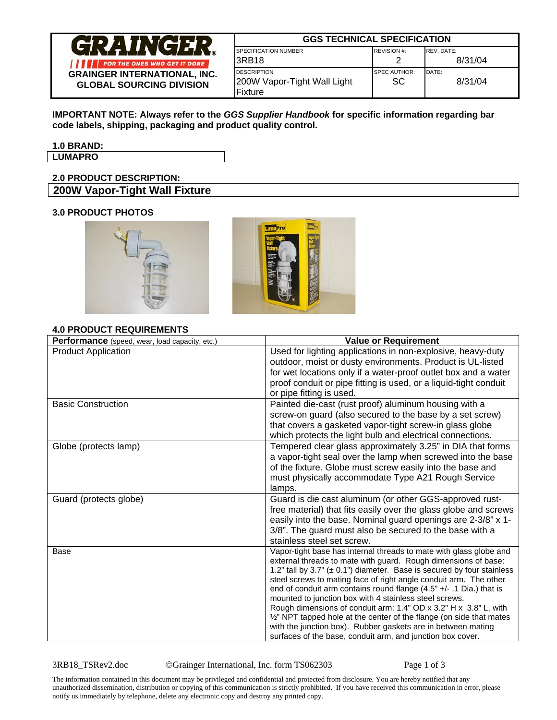

| <b>GGS TECHNICAL SPECIFICATION</b>                |                            |                  |
|---------------------------------------------------|----------------------------|------------------|
| <b>SPECIFICATION NUMBER</b>                       | <b>REVISION #:</b>         | REV. DATE:       |
| I3RB18                                            |                            | 8/31/04          |
| <b>DESCRIPTION</b><br>200W Vapor-Tight Wall Light | <b>SPEC AUTHOR:</b><br>SC. | DATE:<br>8/31/04 |
| lFixture                                          |                            |                  |

**IMPORTANT NOTE: Always refer to the** *GGS Supplier Handbook* **for specific information regarding bar code labels, shipping, packaging and product quality control.** 

# **1.0 BRAND:**

**LUMAPRO** 

# **2.0 PRODUCT DESCRIPTION: 200W Vapor-Tight Wall Fixture**

# **3.0 PRODUCT PHOTOS**



# **4.0 PRODUCT REQUIREMENTS**

| Performance (speed, wear, load capacity, etc.) | <b>Value or Requirement</b>                                                                                                                      |
|------------------------------------------------|--------------------------------------------------------------------------------------------------------------------------------------------------|
| <b>Product Application</b>                     | Used for lighting applications in non-explosive, heavy-duty                                                                                      |
|                                                | outdoor, moist or dusty environments. Product is UL-listed                                                                                       |
|                                                | for wet locations only if a water-proof outlet box and a water                                                                                   |
|                                                | proof conduit or pipe fitting is used, or a liquid-tight conduit                                                                                 |
|                                                | or pipe fitting is used.                                                                                                                         |
| <b>Basic Construction</b>                      | Painted die-cast (rust proof) aluminum housing with a                                                                                            |
|                                                | screw-on guard (also secured to the base by a set screw)                                                                                         |
|                                                | that covers a gasketed vapor-tight screw-in glass globe                                                                                          |
|                                                | which protects the light bulb and electrical connections.                                                                                        |
| Globe (protects lamp)                          | Tempered clear glass approximately 3.25" in DIA that forms                                                                                       |
|                                                | a vapor-tight seal over the lamp when screwed into the base                                                                                      |
|                                                | of the fixture. Globe must screw easily into the base and                                                                                        |
|                                                | must physically accommodate Type A21 Rough Service                                                                                               |
|                                                | lamps.                                                                                                                                           |
| Guard (protects globe)                         | Guard is die cast aluminum (or other GGS-approved rust-                                                                                          |
|                                                | free material) that fits easily over the glass globe and screws                                                                                  |
|                                                | easily into the base. Nominal guard openings are 2-3/8" x 1-                                                                                     |
|                                                | 3/8". The guard must also be secured to the base with a                                                                                          |
|                                                | stainless steel set screw.                                                                                                                       |
| Base                                           | Vapor-tight base has internal threads to mate with glass globe and                                                                               |
|                                                | external threads to mate with guard. Rough dimensions of base:                                                                                   |
|                                                | 1.2" tall by 3.7" ( $\pm$ 0.1") diameter. Base is secured by four stainless<br>steel screws to mating face of right angle conduit arm. The other |
|                                                | end of conduit arm contains round flange (4.5" +/- .1 Dia.) that is                                                                              |
|                                                | mounted to junction box with 4 stainless steel screws.                                                                                           |
|                                                | Rough dimensions of conduit arm: 1.4" OD x 3.2" H x 3.8" L, with                                                                                 |
|                                                | 1/2" NPT tapped hole at the center of the flange (on side that mates                                                                             |
|                                                | with the junction box). Rubber gaskets are in between mating                                                                                     |
|                                                | surfaces of the base, conduit arm, and junction box cover.                                                                                       |

3RB18\_TSRev2.doc ©Grainger International, Inc. form TS062303 Page 1 of 3

The information contained in this document may be privileged and confidential and protected from disclosure. You are hereby notified that any unauthorized dissemination, distribution or copying of this communication is strictly prohibited. If you have received this communication in error, please notify us immediately by telephone, delete any electronic copy and destroy any printed copy.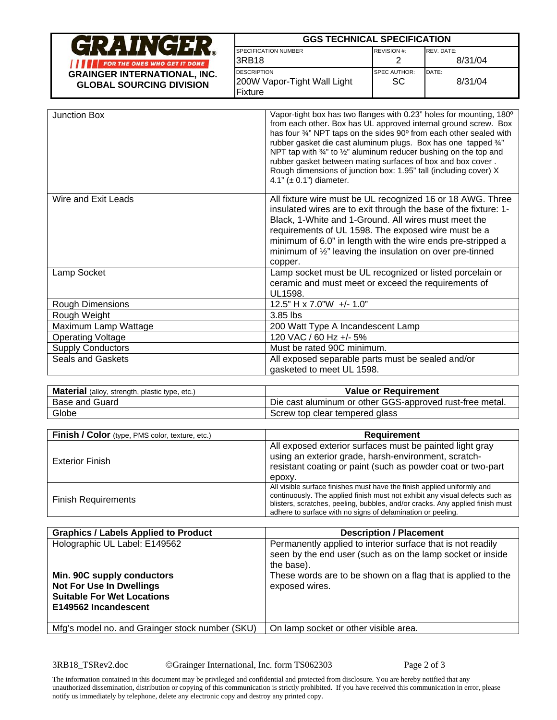| NGER                                                                   | <b>GGS TECHNICAL SPECIFICATION</b>                                   |                           |                  |
|------------------------------------------------------------------------|----------------------------------------------------------------------|---------------------------|------------------|
|                                                                        | <b>SPECIFICATION NUMBER</b>                                          | REVISION #:               | REV. DATE:       |
| FOR THE ONES WHO GET IT DONE                                           | I3RB18                                                               |                           | 8/31/04          |
| <b>GRAINGER INTERNATIONAL, INC.</b><br><b>GLOBAL SOURCING DIVISION</b> | <b>IDESCRIPTION</b><br>200W Vapor-Tight Wall Light<br><b>Fixture</b> | <b>SPEC AUTHOR:</b><br>SC | DATE:<br>8/31/04 |

| Junction Box             | Vapor-tight box has two flanges with 0.23" holes for mounting, 180°<br>from each other. Box has UL approved internal ground screw. Box<br>has four 34" NPT taps on the sides 90° from each other sealed with<br>rubber gasket die cast aluminum plugs. Box has one tapped 3/4"<br>NPT tap with 34" to 1/2" aluminum reducer bushing on the top and<br>rubber gasket between mating surfaces of box and box cover.<br>Rough dimensions of junction box: 1.95" tall (including cover) X<br>4.1" $(\pm 0.1")$ diameter. |
|--------------------------|----------------------------------------------------------------------------------------------------------------------------------------------------------------------------------------------------------------------------------------------------------------------------------------------------------------------------------------------------------------------------------------------------------------------------------------------------------------------------------------------------------------------|
| Wire and Exit Leads      | All fixture wire must be UL recognized 16 or 18 AWG. Three<br>insulated wires are to exit through the base of the fixture: 1-<br>Black, 1-White and 1-Ground. All wires must meet the<br>requirements of UL 1598. The exposed wire must be a<br>minimum of 6.0" in length with the wire ends pre-stripped a<br>minimum of $\frac{1}{2}$ " leaving the insulation on over pre-tinned<br>copper.                                                                                                                       |
| Lamp Socket              | Lamp socket must be UL recognized or listed porcelain or<br>ceramic and must meet or exceed the requirements of<br>UL1598.                                                                                                                                                                                                                                                                                                                                                                                           |
| <b>Rough Dimensions</b>  | 12.5" H x 7.0"W +/- 1.0"                                                                                                                                                                                                                                                                                                                                                                                                                                                                                             |
| Rough Weight             | 3.85 lbs                                                                                                                                                                                                                                                                                                                                                                                                                                                                                                             |
| Maximum Lamp Wattage     | 200 Watt Type A Incandescent Lamp                                                                                                                                                                                                                                                                                                                                                                                                                                                                                    |
| <b>Operating Voltage</b> | 120 VAC / 60 Hz +/- 5%                                                                                                                                                                                                                                                                                                                                                                                                                                                                                               |
| <b>Supply Conductors</b> | Must be rated 90C minimum.                                                                                                                                                                                                                                                                                                                                                                                                                                                                                           |
| Seals and Gaskets        | All exposed separable parts must be sealed and/or                                                                                                                                                                                                                                                                                                                                                                                                                                                                    |
|                          | gasketed to meet UL 1598.                                                                                                                                                                                                                                                                                                                                                                                                                                                                                            |

| <b>Material</b> (alloy, strength, plastic type, etc.) | <b>Value or Requirement</b>                              |
|-------------------------------------------------------|----------------------------------------------------------|
| <b>Base and Guard</b>                                 | Die cast aluminum or other GGS-approved rust-free metal. |
| Globe                                                 | Screw top clear tempered glass                           |

| Finish / Color (type, PMS color, texture, etc.) | Requirement                                                                                                                                                                                                                                                                                             |
|-------------------------------------------------|---------------------------------------------------------------------------------------------------------------------------------------------------------------------------------------------------------------------------------------------------------------------------------------------------------|
| <b>Exterior Finish</b>                          | All exposed exterior surfaces must be painted light gray<br>using an exterior grade, harsh-environment, scratch-<br>resistant coating or paint (such as powder coat or two-part<br>epoxy.                                                                                                               |
| <b>Finish Requirements</b>                      | All visible surface finishes must have the finish applied uniformly and<br>continuously. The applied finish must not exhibit any visual defects such as<br>blisters, scratches, peeling, bubbles, and/or cracks. Any applied finish must<br>adhere to surface with no signs of delamination or peeling. |

| <b>Graphics / Labels Applied to Product</b>                                                                                | <b>Description / Placement</b>                                                                                                          |
|----------------------------------------------------------------------------------------------------------------------------|-----------------------------------------------------------------------------------------------------------------------------------------|
| Holographic UL Label: E149562                                                                                              | Permanently applied to interior surface that is not readily<br>seen by the end user (such as on the lamp socket or inside<br>the base). |
| Min. 90C supply conductors<br><b>Not For Use In Dwellings</b><br><b>Suitable For Wet Locations</b><br>E149562 Incandescent | These words are to be shown on a flag that is applied to the<br>exposed wires.                                                          |
| Mfg's model no. and Grainger stock number (SKU)                                                                            | On lamp socket or other visible area.                                                                                                   |

3RB18\_TSRev2.doc ©Grainger International, Inc. form TS062303 Page 2 of 3

The information contained in this document may be privileged and confidential and protected from disclosure. You are hereby notified that any unauthorized dissemination, distribution or copying of this communication is strictly prohibited. If you have received this communication in error, please notify us immediately by telephone, delete any electronic copy and destroy any printed copy.